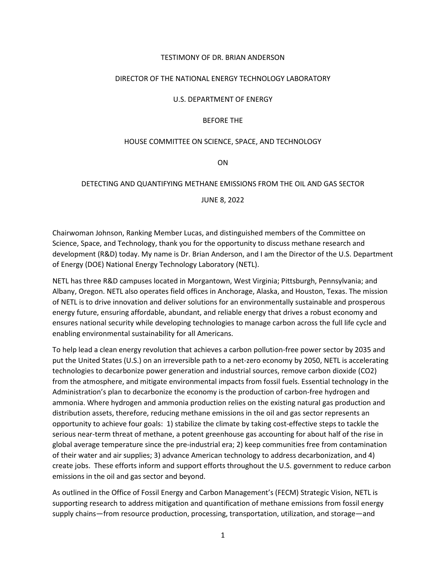### TESTIMONY OF DR. BRIAN ANDERSON

### DIRECTOR OF THE NATIONAL ENERGY TECHNOLOGY LABORATORY

#### U.S. DEPARTMENT OF ENERGY

### BEFORE THE

#### HOUSE COMMITTEE ON SCIENCE, SPACE, AND TECHNOLOGY

ON

### DETECTING AND QUANTIFYING METHANE EMISSIONS FROM THE OIL AND GAS SECTOR

JUNE 8, 2022

Chairwoman Johnson, Ranking Member Lucas, and distinguished members of the Committee on Science, Space, and Technology, thank you for the opportunity to discuss methane research and development (R&D) today. My name is Dr. Brian Anderson, and I am the Director of the U.S. Department of Energy (DOE) National Energy Technology Laboratory (NETL).

NETL has three R&D campuses located in Morgantown, West Virginia; Pittsburgh, Pennsylvania; and Albany, Oregon. NETL also operates field offices in Anchorage, Alaska, and Houston, Texas. The mission of NETL is to drive innovation and deliver solutions for an environmentally sustainable and prosperous energy future, ensuring affordable, abundant, and reliable energy that drives a robust economy and ensures national security while developing technologies to manage carbon across the full life cycle and enabling environmental sustainability for all Americans.

To help lead a clean energy revolution that achieves a carbon pollution-free power sector by 2035 and put the United States (U.S.) on an irreversible path to a net-zero economy by 2050, NETL is accelerating technologies to decarbonize power generation and industrial sources, remove carbon dioxide (CO2) from the atmosphere, and mitigate environmental impacts from fossil fuels. Essential technology in the Administration's plan to decarbonize the economy is the production of carbon-free hydrogen and ammonia. Where hydrogen and ammonia production relies on the existing natural gas production and distribution assets, therefore, reducing methane emissions in the oil and gas sector represents an opportunity to achieve four goals: 1) stabilize the climate by taking cost-effective steps to tackle the serious near-term threat of methane, a potent greenhouse gas accounting for about half of the rise in global average temperature since the pre-industrial era; 2) keep communities free from contamination of their water and air supplies; 3) advance American technology to address decarbonization, and 4) create jobs. These efforts inform and support efforts throughout the U.S. government to reduce carbon emissions in the oil and gas sector and beyond.

As outlined in the Office of Fossil Energy and Carbon Management's (FECM) Strategic Vision, NETL is supporting research to address mitigation and quantification of methane emissions from fossil energy supply chains—from resource production, processing, transportation, utilization, and storage—and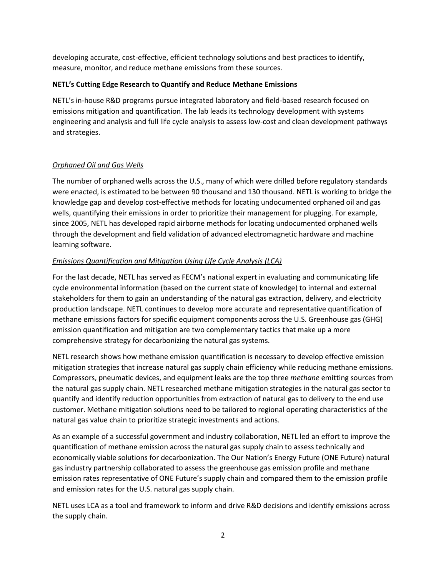developing accurate, cost-effective, efficient technology solutions and best practices to identify, measure, monitor, and reduce methane emissions from these sources.

## **NETL's Cutting Edge Research to Quantify and Reduce Methane Emissions**

NETL's in-house R&D programs pursue integrated laboratory and field-based research focused on emissions mitigation and quantification. The lab leads its technology development with systems engineering and analysis and full life cycle analysis to assess low-cost and clean development pathways and strategies.

# *Orphaned Oil and Gas Wells*

The number of orphaned wells across the U.S., many of which were drilled before regulatory standards were enacted, is estimated to be between 90 thousand and 130 thousand. NETL is working to bridge the knowledge gap and develop cost-effective methods for locating undocumented orphaned oil and gas wells, quantifying their emissions in order to prioritize their management for plugging. For example, since 2005, NETL has developed rapid airborne methods for locating undocumented orphaned wells through the development and field validation of advanced electromagnetic hardware and machine learning software.

# *Emissions Quantification and Mitigation Using Life Cycle Analysis (LCA)*

For the last decade, NETL has served as FECM's national expert in evaluating and communicating life cycle environmental information (based on the current state of knowledge) to internal and external stakeholders for them to gain an understanding of the natural gas extraction, delivery, and electricity production landscape. NETL continues to develop more accurate and representative quantification of methane emissions factors for specific equipment components across the U.S. Greenhouse gas (GHG) emission quantification and mitigation are two complementary tactics that make up a more comprehensive strategy for decarbonizing the natural gas systems.

NETL research shows how methane emission quantification is necessary to develop effective emission mitigation strategies that increase natural gas supply chain efficiency while reducing methane emissions. Compressors, pneumatic devices, and equipment leaks are the top three *methane* emitting sources from the natural gas supply chain. NETL researched methane mitigation strategies in the natural gas sector to quantify and identify reduction opportunities from extraction of natural gas to delivery to the end use customer. Methane mitigation solutions need to be tailored to regional operating characteristics of the natural gas value chain to prioritize strategic investments and actions.

As an example of a successful government and industry collaboration, NETL led an effort to improve the quantification of methane emission across the natural gas supply chain to assess technically and economically viable solutions for decarbonization. The Our Nation's Energy Future (ONE Future) natural gas industry partnership collaborated to assess the greenhouse gas emission profile and methane emission rates representative of ONE Future's supply chain and compared them to the emission profile and emission rates for the U.S. natural gas supply chain.

NETL uses LCA as a tool and framework to inform and drive R&D decisions and identify emissions across the supply chain.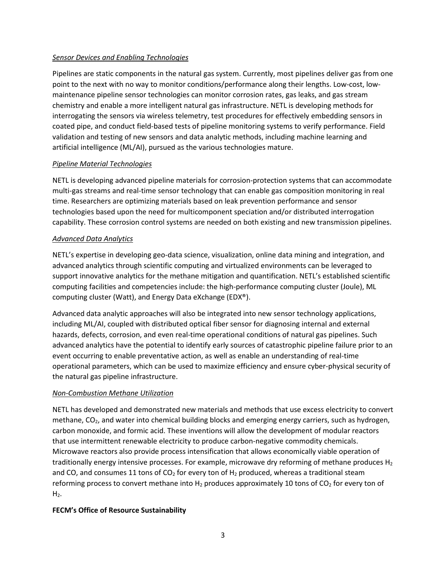### *Sensor Devices and Enabling Technologies*

Pipelines are static components in the natural gas system. Currently, most pipelines deliver gas from one point to the next with no way to monitor conditions/performance along their lengths. Low-cost, lowmaintenance pipeline sensor technologies can monitor corrosion rates, gas leaks, and gas stream chemistry and enable a more intelligent natural gas infrastructure. NETL is developing methods for interrogating the sensors via wireless telemetry, test procedures for effectively embedding sensors in coated pipe, and conduct field-based tests of pipeline monitoring systems to verify performance. Field validation and testing of new sensors and data analytic methods, including machine learning and artificial intelligence (ML/AI), pursued as the various technologies mature.

# *Pipeline Material Technologies*

NETL is developing advanced pipeline materials for corrosion-protection systems that can accommodate multi-gas streams and real-time sensor technology that can enable gas composition monitoring in real time. Researchers are optimizing materials based on leak prevention performance and sensor technologies based upon the need for multicomponent speciation and/or distributed interrogation capability. These corrosion control systems are needed on both existing and new transmission pipelines.

## *Advanced Data Analytics*

NETL's expertise in developing geo-data science, visualization, online data mining and integration, and advanced analytics through scientific computing and virtualized environments can be leveraged to support innovative analytics for the methane mitigation and quantification. NETL's established scientific computing facilities and competencies include: the high-performance computing cluster (Joule), ML computing cluster (Watt), and Energy Data eXchange (EDX®).

Advanced data analytic approaches will also be integrated into new sensor technology applications, including ML/AI, coupled with distributed optical fiber sensor for diagnosing internal and external hazards, defects, corrosion, and even real-time operational conditions of natural gas pipelines. Such advanced analytics have the potential to identify early sources of catastrophic pipeline failure prior to an event occurring to enable preventative action, as well as enable an understanding of real-time operational parameters, which can be used to maximize efficiency and ensure cyber-physical security of the natural gas pipeline infrastructure.

# *Non-Combustion Methane Utilization*

NETL has developed and demonstrated new materials and methods that use excess electricity to convert methane, CO<sub>2</sub>, and water into chemical building blocks and emerging energy carriers, such as hydrogen, carbon monoxide, and formic acid. These inventions will allow the development of modular reactors that use intermittent renewable electricity to produce carbon-negative commodity chemicals. Microwave reactors also provide process intensification that allows economically viable operation of traditionally energy intensive processes. For example, microwave dry reforming of methane produces  $H_2$ and CO, and consumes 11 tons of  $CO<sub>2</sub>$  for every ton of H<sub>2</sub> produced, whereas a traditional steam reforming process to convert methane into  $H_2$  produces approximately 10 tons of CO<sub>2</sub> for every ton of  $H<sub>2</sub>$ .

# **FECM's Office of Resource Sustainability**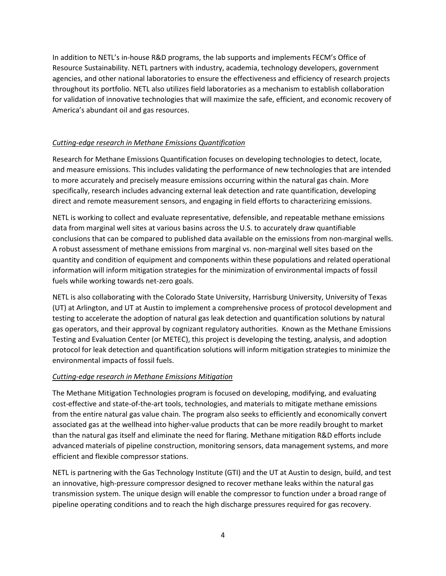In addition to NETL's in-house R&D programs, the lab supports and implements FECM's Office of Resource Sustainability. NETL partners with industry, academia, technology developers, government agencies, and other national laboratories to ensure the effectiveness and efficiency of research projects throughout its portfolio. NETL also utilizes field laboratories as a mechanism to establish collaboration for validation of innovative technologies that will maximize the safe, efficient, and economic recovery of America's abundant oil and gas resources.

## *Cutting-edge research in Methane Emissions Quantification*

Research for Methane Emissions Quantification focuses on developing technologies to detect, locate, and measure emissions. This includes validating the performance of new technologies that are intended to more accurately and precisely measure emissions occurring within the natural gas chain. More specifically, research includes advancing external leak detection and rate quantification, developing direct and remote measurement sensors, and engaging in field efforts to characterizing emissions.

NETL is working to collect and evaluate representative, defensible, and repeatable methane emissions data from marginal well sites at various basins across the U.S. to accurately draw quantifiable conclusions that can be compared to published data available on the emissions from non-marginal wells. A robust assessment of methane emissions from marginal vs. non-marginal well sites based on the quantity and condition of equipment and components within these populations and related operational information will inform mitigation strategies for the minimization of environmental impacts of fossil fuels while working towards net-zero goals.

NETL is also collaborating with the Colorado State University, Harrisburg University, University of Texas (UT) at Arlington, and UT at Austin to implement a comprehensive process of protocol development and testing to accelerate the adoption of natural gas leak detection and quantification solutions by natural gas operators, and their approval by cognizant regulatory authorities. Known as the Methane Emissions Testing and Evaluation Center (or METEC), this project is developing the testing, analysis, and adoption protocol for leak detection and quantification solutions will inform mitigation strategies to minimize the environmental impacts of fossil fuels.

### *Cutting-edge research in Methane Emissions Mitigation*

The Methane Mitigation Technologies program is focused on developing, modifying, and evaluating cost-effective and state-of-the-art tools, technologies, and materials to mitigate methane emissions from the entire natural gas value chain. The program also seeks to efficiently and economically convert associated gas at the wellhead into higher-value products that can be more readily brought to market than the natural gas itself and eliminate the need for flaring. Methane mitigation R&D efforts include advanced materials of pipeline construction, monitoring sensors, data management systems, and more efficient and flexible compressor stations.

NETL is partnering with the Gas Technology Institute (GTI) and the UT at Austin to design, build, and test an innovative, high-pressure compressor designed to recover methane leaks within the natural gas transmission system. The unique design will enable the compressor to function under a broad range of pipeline operating conditions and to reach the high discharge pressures required for gas recovery.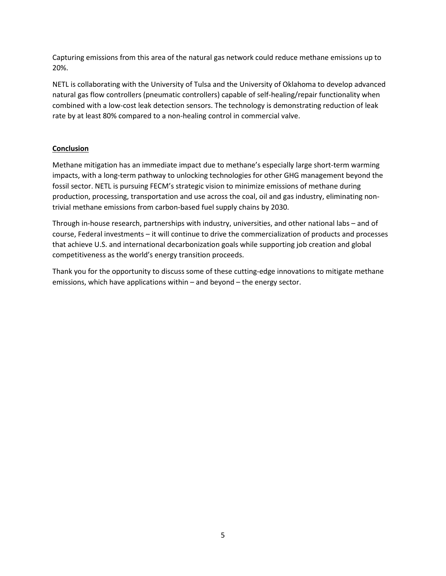Capturing emissions from this area of the natural gas network could reduce methane emissions up to 20%.

NETL is collaborating with the University of Tulsa and the University of Oklahoma to develop advanced natural gas flow controllers (pneumatic controllers) capable of self-healing/repair functionality when combined with a low-cost leak detection sensors. The technology is demonstrating reduction of leak rate by at least 80% compared to a non-healing control in commercial valve.

# **Conclusion**

Methane mitigation has an immediate impact due to methane's especially large short-term warming impacts, with a long-term pathway to unlocking technologies for other GHG management beyond the fossil sector. NETL is pursuing FECM's strategic vision to minimize emissions of methane during production, processing, transportation and use across the coal, oil and gas industry, eliminating nontrivial methane emissions from carbon-based fuel supply chains by 2030.

Through in-house research, partnerships with industry, universities, and other national labs – and of course, Federal investments – it will continue to drive the commercialization of products and processes that achieve U.S. and international decarbonization goals while supporting job creation and global competitiveness as the world's energy transition proceeds.

Thank you for the opportunity to discuss some of these cutting-edge innovations to mitigate methane emissions, which have applications within – and beyond – the energy sector.